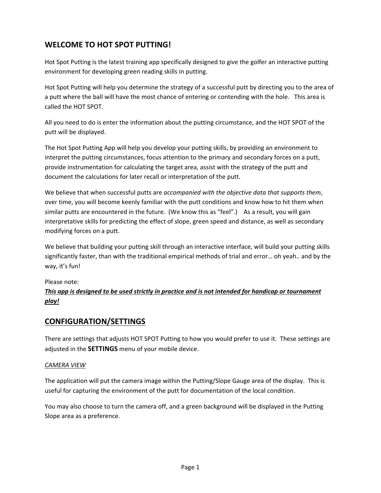## **WELCOME TO HOT SPOT PUTTING!**

Hot Spot Putting is the latest training app specifically designed to give the golfer an interactive putting environment for developing green reading skills in putting.

Hot Spot Putting will help you determine the strategy of a successful putt by directing you to the area of a putt where the ball will have the most chance of entering or contending with the hole. This area is called the HOT SPOT.

All you need to do is enter the information about the putting circumstance, and the HOT SPOT of the putt will be displayed.

The Hot Spot Putting App will help you develop your putting skills, by providing an environment to interpret the putting circumstances, focus attention to the primary and secondary forces on a putt, provide instrumentation for calculating the target area, assist with the strategy of the putt and document the calculations for later recall or interpretation of the putt.

We believe that when successful putts are *accompanied with the objective data that supports them*, over time, you will become keenly familiar with the putt conditions and know how to hit them when similar putts are encountered in the future. (We know this as "feel".) As a result, you will gain interpretative skills for predicting the effect of slope, green speed and distance, as well as secondary modifying forces on a putt.

We believe that building your putting skill through an interactive interface, will build your putting skills significantly faster, than with the traditional empirical methods of trial and error… oh yeah.. and by the way, it's fun!

#### Please note:

### This app is designed to be used strictly in practice and is not intended for handicap or tournament *play!*

### **CONFIGURATION/SETTINGS**

There are settings that adjusts HOT SPOT Putting to how you would prefer to use it. These settings are adjusted in the **SETTINGS** menu of your mobile device.

#### *CAMERA VIEW*

The application will put the camera image within the Putting/Slope Gauge area of the display. This is useful for capturing the environment of the putt for documentation of the local condition.

You may also choose to turn the camera off, and a green background will be displayed in the Putting Slope area as a preference.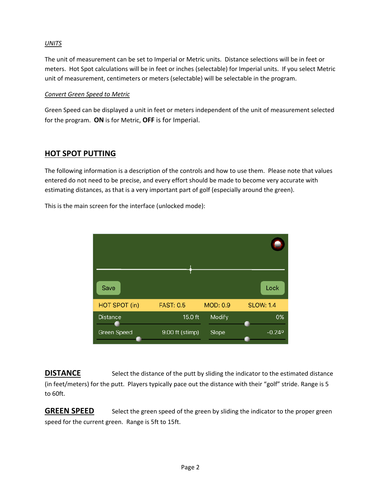#### *UNITS*

The unit of measurement can be set to Imperial or Metric units. Distance selections will be in feet or meters. Hot Spot calculations will be in feet or inches (selectable) for Imperial units. If you select Metric unit of measurement, centimeters or meters (selectable) will be selectable in the program.

#### *Convert Green Speed to Metric*

Green Speed can be displayed a unit in feet or meters independent of the unit of measurement selected for the program. **ON** is for Metric, **OFF** is for Imperial.

### **HOT SPOT PUTTING**

The following information is a description of the controls and how to use them. Please note that values entered do not need to be precise, and every effort should be made to become very accurate with estimating distances, as that is a very important part of golf (especially around the green).

This is the main screen for the interface (unlocked mode):



**DISTANCE** Select the distance of the putt by sliding the indicator to the estimated distance (in feet/meters) for the putt. Players typically pace out the distance with their "golf" stride. Range is 5 to 60ft.

**GREEN SPEED** Select the green speed of the green by sliding the indicator to the proper green speed for the current green. Range is 5ft to 15ft.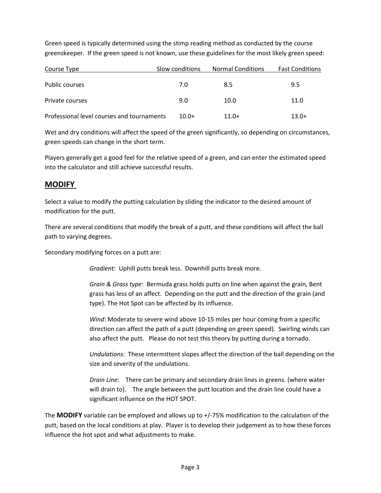Green speed is typically determined using the stimp reading method as conducted by the course greenskeeper. If the green speed is not known, use these guidelines for the most likely green speed:

| Course Type                                | Slow conditions | <b>Normal Conditions</b> | <b>Fast Conditions</b> |
|--------------------------------------------|-----------------|--------------------------|------------------------|
| Public courses                             | 7.0             | 8.5                      | 9.5                    |
| Private courses                            | 9.0             | 10.0                     | 11.0                   |
| Professional level courses and tournaments | $10.0+$         | $11.0+$                  | $13.0+$                |

Wet and dry conditions will affect the speed of the green significantly, so depending on circumstances, green speeds can change in the short term.

Players generally get a good feel for the relative speed of a green, and can enter the estimated speed into the calculator and still achieve successful results.

### **MODIFY**

Select a value to modify the putting calculation by sliding the indicator to the desired amount of modification for the putt.

There are several conditions that modify the break of a putt, and these conditions will affect the ball path to varying degrees.

Secondary modifying forces on a putt are:

*Gradient*: Uphill putts break less. Downhill putts break more.

*Grain & Grass type*: Bermuda grass holds putts on line when against the grain, Bent grass has less of an affect. Depending on the putt and the direction of the grain (and type). The Hot Spot can be affected by its influence.

*Wind*: Moderate to severe wind above 10‐15 miles per hour coming from a specific direction can affect the path of a putt (depending on green speed). Swirling winds can also affect the putt. Please do not test this theory by putting during a tornado.

*Undulations*: These intermittent slopes affect the direction of the ball depending on the size and severity of the undulations.

*Drain Line*: There can be primary and secondary drain lines in greens. (where water will drain to). The angle between the putt location and the drain line could have a significant influence on the HOT SPOT.

The **MODIFY** variable can be employed and allows up to +/‐75% modification to the calculation of the putt, based on the local conditions at play. Player is to develop their judgement as to how these forces influence the hot spot and what adjustments to make.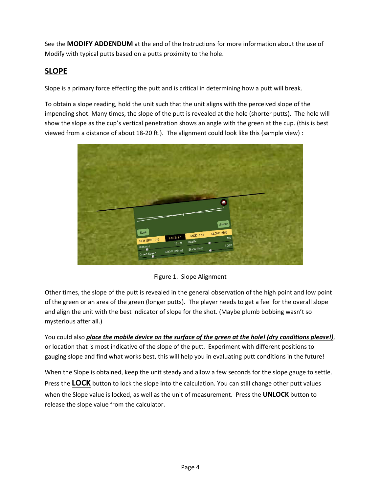See the **MODIFY ADDENDUM** at the end of the Instructions for more information about the use of Modify with typical putts based on a putts proximity to the hole.

## **SLOPE**

Slope is a primary force effecting the putt and is critical in determining how a putt will break.

To obtain a slope reading, hold the unit such that the unit aligns with the perceived slope of the impending shot. Many times, the slope of the putt is revealed at the hole (shorter putts). The hole will show the slope as the cup's vertical penetration shows an angle with the green at the cup. (this is best viewed from a distance of about 18‐20 ft.). The alignment could look like this (sample view) :



Figure 1. Slope Alignment

Other times, the slope of the putt is revealed in the general observation of the high point and low point of the green or an area of the green (longer putts). The player needs to get a feel for the overall slope and align the unit with the best indicator of slope for the shot. (Maybe plumb bobbing wasn't so mysterious after all.)

You could also *place the mobile device on the surface of the green at the hole! (dry conditions please!)*, or location that is most indicative of the slope of the putt. Experiment with different positions to gauging slope and find what works best, this will help you in evaluating putt conditions in the future!

When the Slope is obtained, keep the unit steady and allow a few seconds for the slope gauge to settle. Press the **LOCK** button to lock the slope into the calculation. You can still change other putt values when the Slope value is locked, as well as the unit of measurement. Press the **UNLOCK** button to release the slope value from the calculator.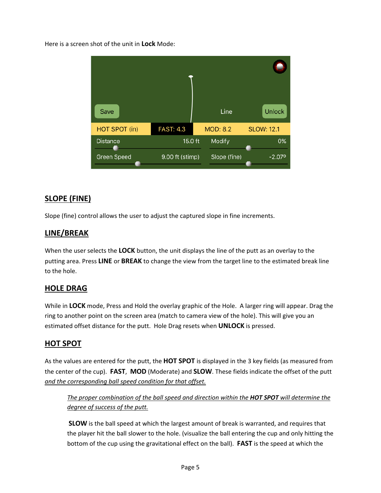Here is a screen shot of the unit in **Lock** Mode:



## **SLOPE (FINE)**

Slope (fine) control allows the user to adjust the captured slope in fine increments.

### **LINE/BREAK**

When the user selects the **LOCK** button, the unit displays the line of the putt as an overlay to the putting area. Press **LINE** or **BREAK** to change the view from the target line to the estimated break line to the hole.

### **HOLE DRAG**

While in **LOCK** mode, Press and Hold the overlay graphic of the Hole. A larger ring will appear. Drag the ring to another point on the screen area (match to camera view of the hole). This will give you an estimated offset distance for the putt. Hole Drag resets when **UNLOCK** is pressed.

### **HOT SPOT**

As the values are entered for the putt, the **HOT SPOT** is displayed in the 3 key fields (as measured from the center of the cup). **FAST**, **MOD** (Moderate) and **SLOW**. These fields indicate the offset of the putt *and the corresponding ball speed condition for that offset.*

*The proper combination of the ball speed and direction within the HOT SPOT will determine the degree of success of the putt.*

**SLOW** is the ball speed at which the largest amount of break is warranted, and requires that the player hit the ball slower to the hole. (visualize the ball entering the cup and only hitting the bottom of the cup using the gravitational effect on the ball). **FAST** is the speed at which the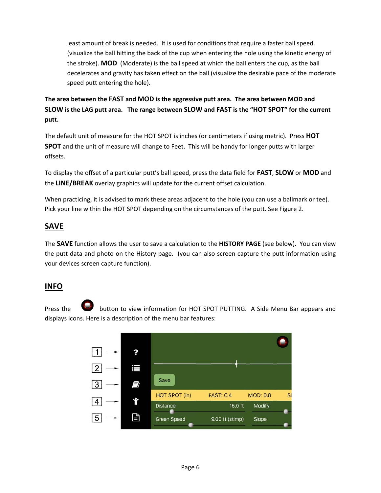least amount of break is needed. It is used for conditions that require a faster ball speed. (visualize the ball hitting the back of the cup when entering the hole using the kinetic energy of the stroke). **MOD** (Moderate) is the ball speed at which the ball enters the cup, as the ball decelerates and gravity has taken effect on the ball (visualize the desirable pace of the moderate speed putt entering the hole).

**The area between the FAST and MOD is the aggressive putt area. The area between MOD and**  SLOW is the LAG putt area. The range between SLOW and FAST is the "HOT SPOT" for the current **putt.**

The default unit of measure for the HOT SPOT is inches (or centimeters if using metric). Press **HOT SPOT** and the unit of measure will change to Feet. This will be handy for longer putts with larger offsets.

To display the offset of a particular putt's ball speed, press the data field for **FAST**, **SLOW** or **MOD** and the **LINE/BREAK** overlay graphics will update for the current offset calculation.

When practicing, it is advised to mark these areas adjacent to the hole (you can use a ballmark or tee). Pick your line within the HOT SPOT depending on the circumstances of the putt. See Figure 2.

## **SAVE**

The **SAVE** function allows the user to save a calculation to the **HISTORY PAGE** (see below). You can view the putt data and photo on the History page. (you can also screen capture the putt information using your devices screen capture function).

### **INFO**

Press the button to view information for HOT SPOT PUTTING. A Side Menu Bar appears and displays icons. Here is a description of the menu bar features:

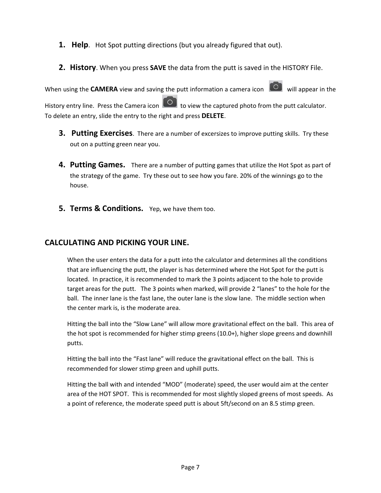- **1. Help**. Hot Spot putting directions (but you already figured that out).
- **2. History**. When you press **SAVE** the data from the putt is saved in the HISTORY File.

When using the **CAMERA** view and saving the putt information a camera icon **C** will appear in the History entry line. Press the Camera icon  $\Box$  to view the captured photo from the putt calculator. To delete an entry, slide the entry to the right and press **DELETE**.

- **3. Putting Exercises**. There are a number of excersizes to improve putting skills. Try these out on a putting green near you.
- **4. Putting Games.** There are a number of putting games that utilize the Hot Spot as part of the strategy of the game. Try these out to see how you fare. 20% of the winnings go to the house.
- **5. Terms & Conditions.** Yep, we have them too.

### **CALCULATING AND PICKING YOUR LINE.**

When the user enters the data for a putt into the calculator and determines all the conditions that are influencing the putt, the player is has determined where the Hot Spot for the putt is located. In practice, it is recommended to mark the 3 points adjacent to the hole to provide target areas for the putt. The 3 points when marked, will provide 2 "lanes" to the hole for the ball. The inner lane is the fast lane, the outer lane is the slow lane. The middle section when the center mark is, is the moderate area.

Hitting the ball into the "Slow Lane" will allow more gravitational effect on the ball. This area of the hot spot is recommended for higher stimp greens (10.0+), higher slope greens and downhill putts.

Hitting the ball into the "Fast lane" will reduce the gravitational effect on the ball. This is recommended for slower stimp green and uphill putts.

Hitting the ball with and intended "MOD" (moderate) speed, the user would aim at the center area of the HOT SPOT. This is recommended for most slightly sloped greens of most speeds. As a point of reference, the moderate speed putt is about 5ft/second on an 8.5 stimp green.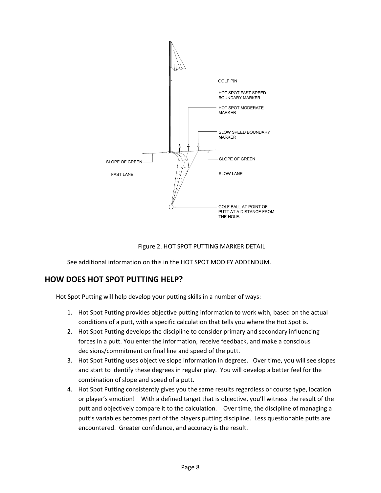

#### Figure 2. HOT SPOT PUTTING MARKER DETAIL

See additional information on this in the HOT SPOT MODIFY ADDENDUM.

### **HOW DOES HOT SPOT PUTTING HELP?**

Hot Spot Putting will help develop your putting skills in a number of ways:

- 1. Hot Spot Putting provides objective putting information to work with, based on the actual conditions of a putt, with a specific calculation that tells you where the Hot Spot is.
- 2. Hot Spot Putting develops the discipline to consider primary and secondary influencing forces in a putt. You enter the information, receive feedback, and make a conscious decisions/commitment on final line and speed of the putt.
- 3. Hot Spot Putting uses objective slope information in degrees. Over time, you will see slopes and start to identify these degrees in regular play. You will develop a better feel for the combination of slope and speed of a putt.
- 4. Hot Spot Putting consistently gives you the same results regardless or course type, location or player's emotion! With a defined target that is objective, you'll witness the result of the putt and objectively compare it to the calculation. Over time, the discipline of managing a putt's variables becomes part of the players putting discipline. Less questionable putts are encountered. Greater confidence, and accuracy is the result.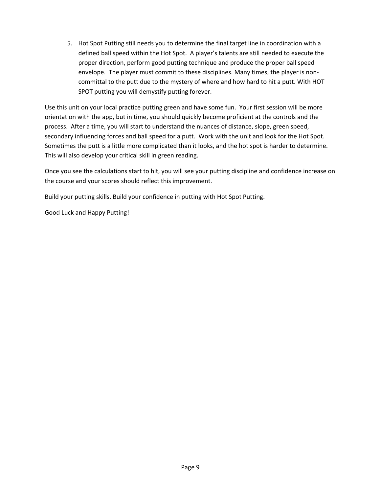5. Hot Spot Putting still needs you to determine the final target line in coordination with a defined ball speed within the Hot Spot. A player's talents are still needed to execute the proper direction, perform good putting technique and produce the proper ball speed envelope. The player must commit to these disciplines. Many times, the player is noncommittal to the putt due to the mystery of where and how hard to hit a putt. With HOT SPOT putting you will demystify putting forever.

Use this unit on your local practice putting green and have some fun. Your first session will be more orientation with the app, but in time, you should quickly become proficient at the controls and the process. After a time, you will start to understand the nuances of distance, slope, green speed, secondary influencing forces and ball speed for a putt. Work with the unit and look for the Hot Spot. Sometimes the putt is a little more complicated than it looks, and the hot spot is harder to determine. This will also develop your critical skill in green reading.

Once you see the calculations start to hit, you will see your putting discipline and confidence increase on the course and your scores should reflect this improvement.

Build your putting skills. Build your confidence in putting with Hot Spot Putting.

Good Luck and Happy Putting!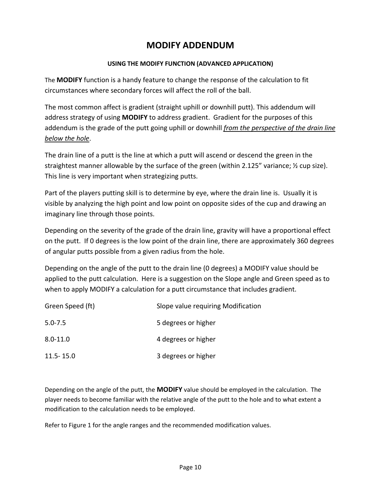# **MODIFY ADDENDUM**

#### **USING THE MODIFY FUNCTION (ADVANCED APPLICATION)**

The **MODIFY** function is a handy feature to change the response of the calculation to fit circumstances where secondary forces will affect the roll of the ball.

The most common affect is gradient (straight uphill or downhill putt). This addendum will address strategy of using **MODIFY** to address gradient. Gradient for the purposes of this addendum is the grade of the putt going uphill or downhill *from the perspective of the drain line below the hole*.

The drain line of a putt is the line at which a putt will ascend or descend the green in the straightest manner allowable by the surface of the green (within 2.125" variance;  $\frac{1}{2}$  cup size). This line is very important when strategizing putts.

Part of the players putting skill is to determine by eye, where the drain line is. Usually it is visible by analyzing the high point and low point on opposite sides of the cup and drawing an imaginary line through those points.

Depending on the severity of the grade of the drain line, gravity will have a proportional effect on the putt. If 0 degrees is the low point of the drain line, there are approximately 360 degrees of angular putts possible from a given radius from the hole.

Depending on the angle of the putt to the drain line (0 degrees) a MODIFY value should be applied to the putt calculation. Here is a suggestion on the Slope angle and Green speed as to when to apply MODIFY a calculation for a putt circumstance that includes gradient.

| Green Speed (ft) | Slope value requiring Modification |
|------------------|------------------------------------|
| $5.0 - 7.5$      | 5 degrees or higher                |
| $8.0 - 11.0$     | 4 degrees or higher                |
| $11.5 - 15.0$    | 3 degrees or higher                |

Depending on the angle of the putt, the **MODIFY** value should be employed in the calculation. The player needs to become familiar with the relative angle of the putt to the hole and to what extent a modification to the calculation needs to be employed.

Refer to Figure 1 for the angle ranges and the recommended modification values.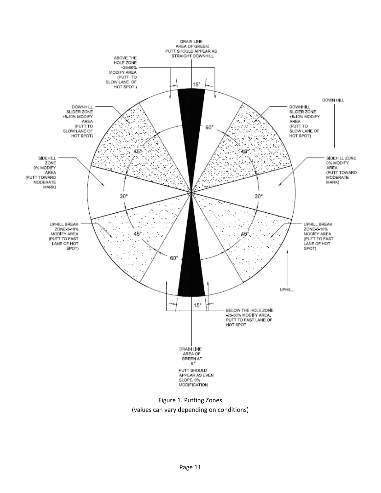

(values can vary depending on conditions)